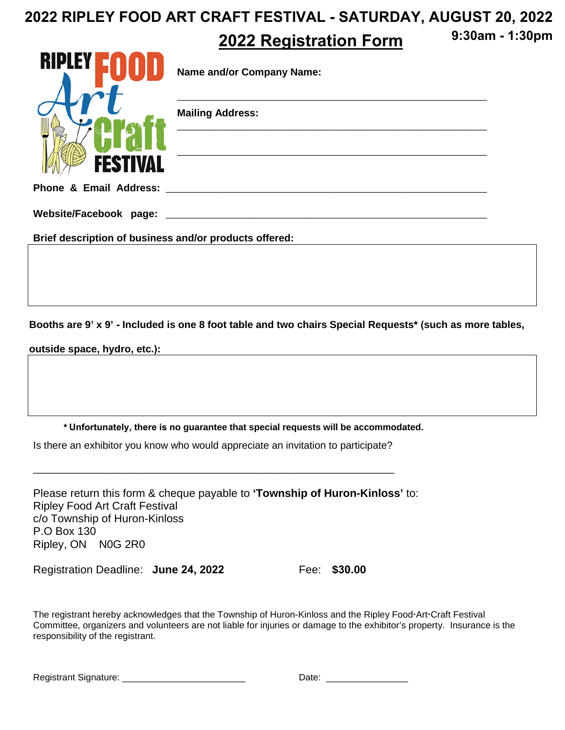#### **2022 Registration Form 2022 RIPLEY FOOD ART CRAFT FESTIVAL - SATURDAY, AUGUST 20, 2022 9:30am - 1:30pm**

|                                                        | <b>Name and/or Company Name:</b> |
|--------------------------------------------------------|----------------------------------|
|                                                        | <b>Mailing Address:</b>          |
| <b>FESTIVAL</b><br>Phone & Email Address:              |                                  |
| Website/Facebook page:                                 |                                  |
| Brief description of business and/or products offered: |                                  |

**Booths are 9' x 9' - Included is one 8 foot table and two chairs Special Requests\* (such as more tables,**

**outside space, hydro, etc.):** 

**\* Unfortunately, there is no guarantee that special requests will be accommodated.**

Is there an exhibitor you know who would appreciate an invitation to participate?

\_\_\_\_\_\_\_\_\_\_\_\_\_\_\_\_\_\_\_\_\_\_\_\_\_\_\_\_\_\_\_\_\_\_\_\_\_\_\_\_\_\_\_\_\_\_\_\_\_\_\_\_\_\_\_\_\_\_\_\_\_\_\_\_

Please return this form & cheque payable to **'Township of Huron-Kinloss'** to: Ripley Food Art Craft Festival c/o Township of Huron-Kinloss P.O Box 130 Ripley, ON N0G 2R0

Registration Deadline: **June 24, 2022** Fee: **\$30.00** 

The registrant hereby acknowledges that the Township of Huron-Kinloss and the Ripley Food-Art-Craft Festival Committee, organizers and volunteers are not liable for injuries or damage to the exhibitor's property. Insurance is the responsibility of the registrant.

Registrant Signature: \_\_\_\_\_\_\_\_\_\_\_\_\_\_\_\_\_\_\_\_\_\_\_\_ Date: \_\_\_\_\_\_\_\_\_\_\_\_\_\_\_\_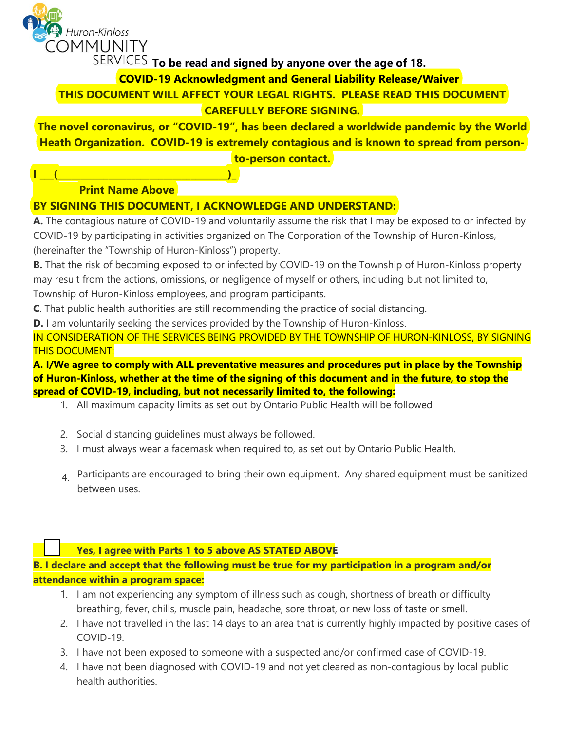

SERVICES To be read and signed by anyone over the age of 18.

**COVID-19 Acknowledgment and General Liability Release/Waiver**

**THIS DOCUMENT WILL AFFECT YOUR LEGAL RIGHTS. PLEASE READ THIS DOCUMENT** 

# **CAREFULLY BEFORE SIGNING.**

**The novel coronavirus, or "COVID-19", has been declared a worldwide pandemic by the World Heath Organization. COVID-19 is extremely contagious and is known to spread from personto-person contact.**

# **Print Name Above**

**I \_\_\_(\_\_\_\_\_\_\_\_\_\_\_\_\_\_\_\_\_\_\_\_\_\_\_\_\_\_\_\_\_\_\_\_\_\_\_\_\_)\_**

## **BY SIGNING THIS DOCUMENT, I ACKNOWLEDGE AND UNDERSTAND:**

**A.** The contagious nature of COVID-19 and voluntarily assume the risk that I may be exposed to or infected by COVID-19 by participating in activities organized on The Corporation of the Township of Huron-Kinloss, (hereinafter the "Township of Huron-Kinloss") property.

**B.** That the risk of becoming exposed to or infected by COVID-19 on the Township of Huron-Kinloss property may result from the actions, omissions, or negligence of myself or others, including but not limited to, Township of Huron-Kinloss employees, and program participants.

**C**. That public health authorities are still recommending the practice of social distancing.

**D.** I am voluntarily seeking the services provided by the Township of Huron-Kinloss.

IN CONSIDERATION OF THE SERVICES BEING PROVIDED BY THE TOWNSHIP OF HURON-KINLOSS, BY SIGNING THIS DOCUMENT:

**A. I/We agree to comply with ALL preventative measures and procedures put in place by the Township of Huron-Kinloss, whether at the time of the signing of this document and in the future, to stop the spread of COVID-19, including, but not necessarily limited to, the following:** 

- 1. All maximum capacity limits as set out by Ontario Public Health will be followed
- 2. Social distancing guidelines must always be followed.
- 3. I must always wear a facemask when required to, as set out by Ontario Public Health.
- 4. Participants are encouraged to bring their own equipment. Any shared equipment must be sanitized between uses.

## **Yes, I agree with Parts 1 to 5 above AS STATED ABOVE**

**B. I declare and accept that the following must be true for my participation in a program and/or attendance within a program space:**

- 1. I am not experiencing any symptom of illness such as cough, shortness of breath or difficulty breathing, fever, chills, muscle pain, headache, sore throat, or new loss of taste or smell.
- 2. I have not travelled in the last 14 days to an area that is currently highly impacted by positive cases of COVID-19.
- 3. I have not been exposed to someone with a suspected and/or confirmed case of COVID-19.
- 4. I have not been diagnosed with COVID-19 and not yet cleared as non-contagious by local public health authorities.